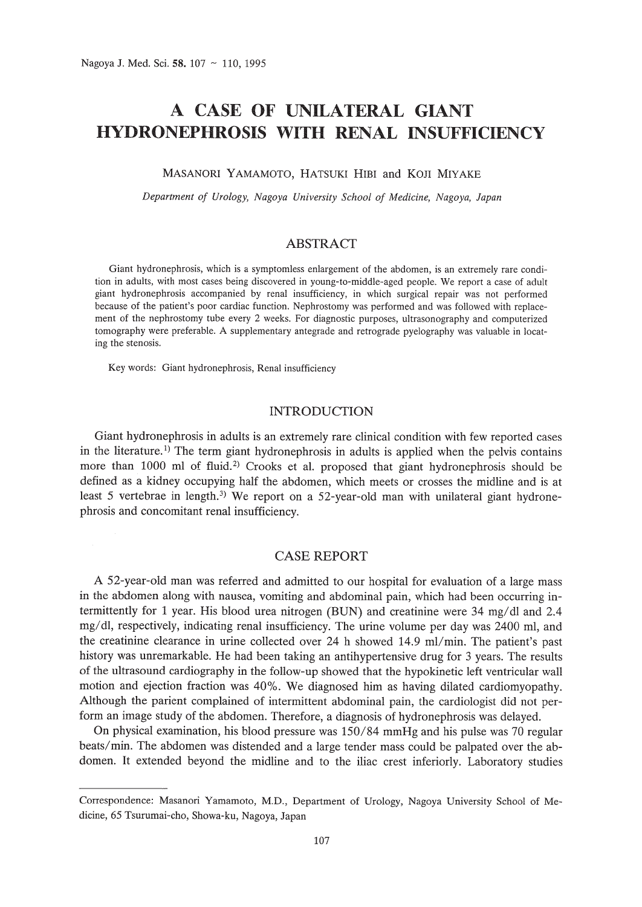# **A CASE OF UNILATERAL GIANT HYDRONEPHROSIS WITH RENAL INSUFFICIENCY**

#### MASANORI YAMAMOTO, HATSUKI HIBI and KOJI MIYAKE

*Department of Urology, Nagoya University School of Medicine, Nagoya, Japan*

### ABSTRACT

Giant hydronephrosis, which is a symptomless enlargement of the abdomen, is an extremely rare condition in adults, with most cases being discovered in young-to-middle-aged people. We report a case of adult giant hydronephrosis accompanied by renal insufficiency, in which surgical repair was not performed because of the patient's poor cardiac function. Nephrostomy was performed and was followed with replacement of the nephrostomy tube every 2 weeks. For diagnostic purposes, ultrasonography and computerized tomography were preferable. A supplementary antegrade and retrograde pyelography was valuable in locating the stenosis.

Key words: Giant hydronephrosis, Renal insufficiency

## INTRODUCTION

Giant hydronephrosis in adults is an extremely rare clinical condition with few reported cases in the literature.<sup>1</sup> The term giant hydronephrosis in adults is applied when the pelvis contains more than 1000 ml of fluid.<sup>2)</sup> Crooks et al. proposed that giant hydronephrosis should be defined as a kidney occupying half the abdomen, which meets or crosses the midline and is at least 5 vertebrae in length.<sup>3)</sup> We report on a 52-year-old man with unilateral giant hydronephrosis and concomitant renal insufficiency.

#### CASE REPORT

A 52-year-old man was referred and admitted to our hospital for evaluation of a large mass in the abdomen along with nausea, vomiting and abdominal pain, which had been occurring intermittently for 1 year. His blood urea nitrogen (BUN) and creatinine were 34 mg/dl and 2.4 mg/dl, respectively, indicating renal insufficiency. The urine volume per day was 2400 ml, and the creatinine clearance in urine collected over 24 h showed 14.9 ml/min. The patient's past history was unremarkable. He had been taking an antihypertensive drug for 3 years. The results of the ultrasound cardiography in the follow-up showed that the hypokinetic left ventricular wall motion and ejection fraction was 40%. We diagnosed him as having dilated cardiomyopathy. Although the parient complained of intermittent abdominal pain, the cardiologist did not perform an image study of the abdomen. Therefore, a diagnosis of hydronephrosis was delayed.

On physical examination, his blood pressure was 150/84 mmHg and his pulse was 70 regular beats/min. The abdomen was distended and a large tender mass could be palpated over the abdomen. It extended beyond the midline and to the iliac crest inferiorly. Laboratory studies

Correspondence: Masanori Yamamoto, M.D., Department of Urology, Nagoya University School of Medicine, 65 Tsurumai-cho, Showa-ku, Nagoya, Japan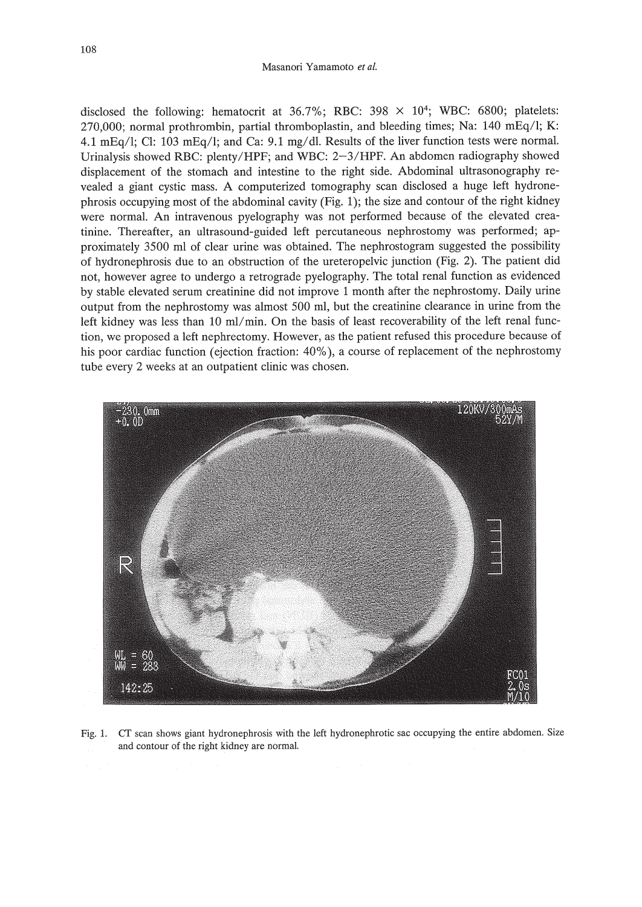disclosed the following: hematocrit at  $36.7\%$ ; RBC:  $398 \times 10^4$ ; WBC: 6800; platelets:  $270,000$ ; normal prothrombin, partial thromboplastin, and bleeding times; Na: 140 mEq/l; K: 4.1 mEq/l; CI: 103 mEq/l; and Ca: 9.1 mg/dl. Results of the liver function tests were normal. Urinalysis showed RBC: plenty/HPF; and WBC: 2-3/HPF. An abdomen radiography showed displacement of the stomach and intestine to the right side. Abdominal ultrasonography revealed a giant cystic mass. A computerized tomography scan disclosed a huge left hydronephrosis occupying most of the abdominal cavity (Fig. 1); the size and contour of the right kidney were normal. An intravenous pyelography was not performed because of the elevated creatinine. Thereafter, an ultrasound-guided left percutaneous nephrostomy was performed; approximately 3500 ml of clear urine was obtained. The nephrostogram suggested the possibility of hydronephrosis due to an obstruction of the ureteropelvic junction (Fig. 2). The patient did not, however agree to undergo a retrograde pyelography. The total renal function as evidenced by stable elevated serum creatinine did not improve 1 month after the nephrostomy. Daily urine output from the nephrostomy was almost 500 ml, but the creatinine clearance in urine from the left kidney was less than 10 ml/min. On the basis of least recoverability of the left renal function, we proposed a left nephrectomy. However, as the patient refused this procedure because of his poor cardiac function (ejection fraction: 40%), a course of replacement of the nephrostomy tube every 2 weeks at an outpatient clinic was chosen.



Fig. 1. cr scan shows giant hydronephrosis with the left hydronephrotic sac occupying the entire abdomen. Size and contour of the right kidney are normal.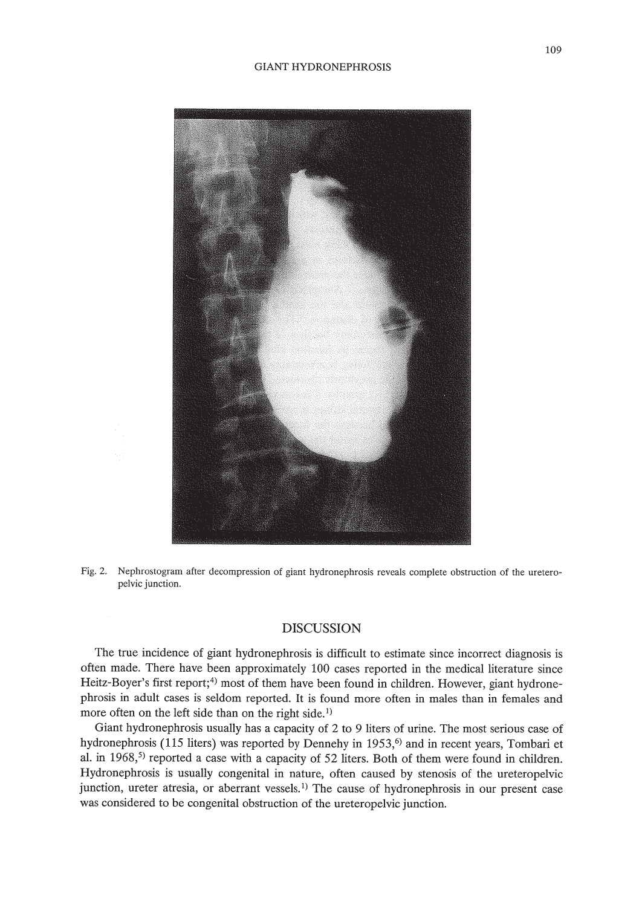#### GIANT HYDRONEPHROSIS



Fig. 2. Nephrostogram after decompression of giant hydronephrosis reveals complete obstruction of the ureteropelvic junction.

### DISCUSSION

The true incidence of giant hydronephrosis is difficult to estimate since incorrect diagnosis is often made. There have been approximately 100 cases reported in the medical literature since Heitz-Boyer's first report;<sup>4)</sup> most of them have been found in children. However, giant hydronephrosis in adult cases is seldom reported. It is found more often in males than in females and more often on the left side than on the right side.<sup>1)</sup>

Giant hydronephrosis usually has a capacity of 2 to 9 liters of urine. The most serious case of hydronephrosis (115 liters) was reported by Dennehy in 1953,<sup>6)</sup> and in recent years, Tombari et al. in  $1968$ <sup>5)</sup> reported a case with a capacity of 52 liters. Both of them were found in children. Hydronephrosis is usually congenital in nature, often caused by stenosis of the ureteropelvic junction, ureter atresia, or aberrant vessels.<sup>1)</sup> The cause of hydronephrosis in our present case was considered to be congenital obstruction of the ureteropelvic junction.